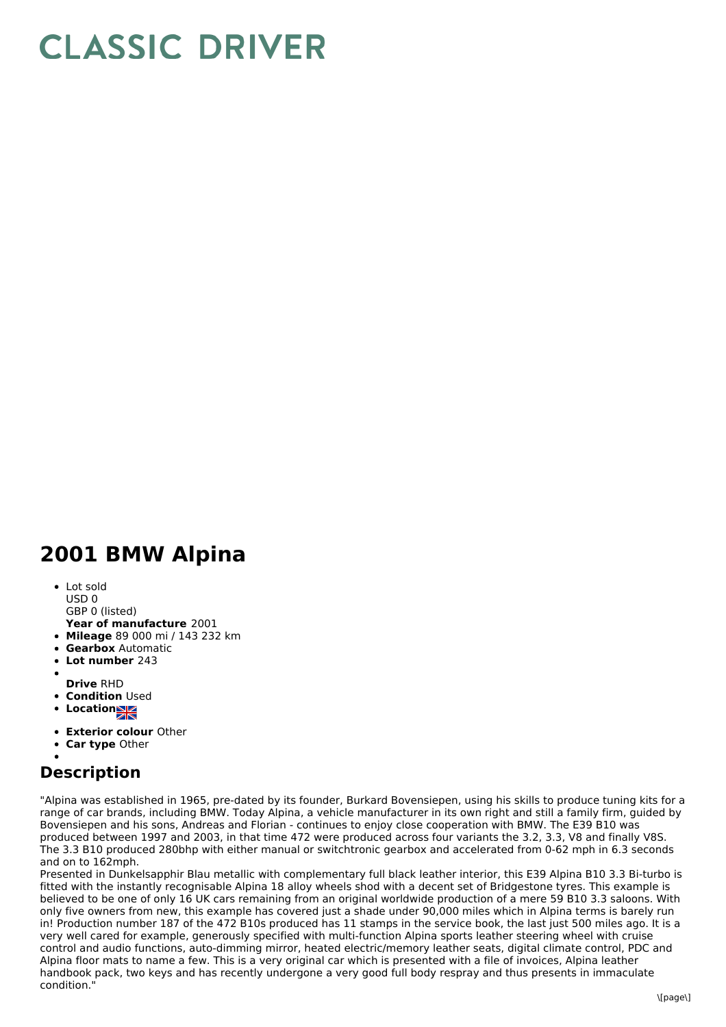## **CLASSIC DRIVER**

## **2001 BMW Alpina**

- Lot sold USD 0
- GBP 0 (listed)
- **Year of manufacture** 2001
- **Mileage** 89 000 mi / 143 232 km
- **Gearbox** Automatic
- **Lot number** 243
- 
- **Drive** RHD
- **Condition Used**
- **Locations**
- **Exterior colour** Other
- **Car type** Other

## **Description**

"Alpina was established in 1965, pre-dated by its founder, Burkard Bovensiepen, using his skills to produce tuning kits for a range of car brands, including BMW. Today Alpina, a vehicle manufacturer in its own right and still a family firm, guided by Bovensiepen and his sons, Andreas and Florian - continues to enjoy close cooperation with BMW. The E39 B10 was produced between 1997 and 2003, in that time 472 were produced across four variants the 3.2, 3.3, V8 and finally V8S. The 3.3 B10 produced 280bhp with either manual or switchtronic gearbox and accelerated from 0-62 mph in 6.3 seconds and on to 162mph.

Presented in Dunkelsapphir Blau metallic with complementary full black leather interior, this E39 Alpina B10 3.3 Bi-turbo is fitted with the instantly recognisable Alpina 18 alloy wheels shod with a decent set of Bridgestone tyres. This example is believed to be one of only 16 UK cars remaining from an original worldwide production of a mere 59 B10 3.3 saloons. With only five owners from new, this example has covered just a shade under 90,000 miles which in Alpina terms is barely run in! Production number 187 of the 472 B10s produced has 11 stamps in the service book, the last just 500 miles ago. It is a very well cared for example, generously specified with multi-function Alpina sports leather steering wheel with cruise control and audio functions, auto-dimming mirror, heated electric/memory leather seats, digital climate control, PDC and Alpina floor mats to name a few. This is a very original car which is presented with a file of invoices, Alpina leather handbook pack, two keys and has recently undergone a very good full body respray and thus presents in immaculate condition."